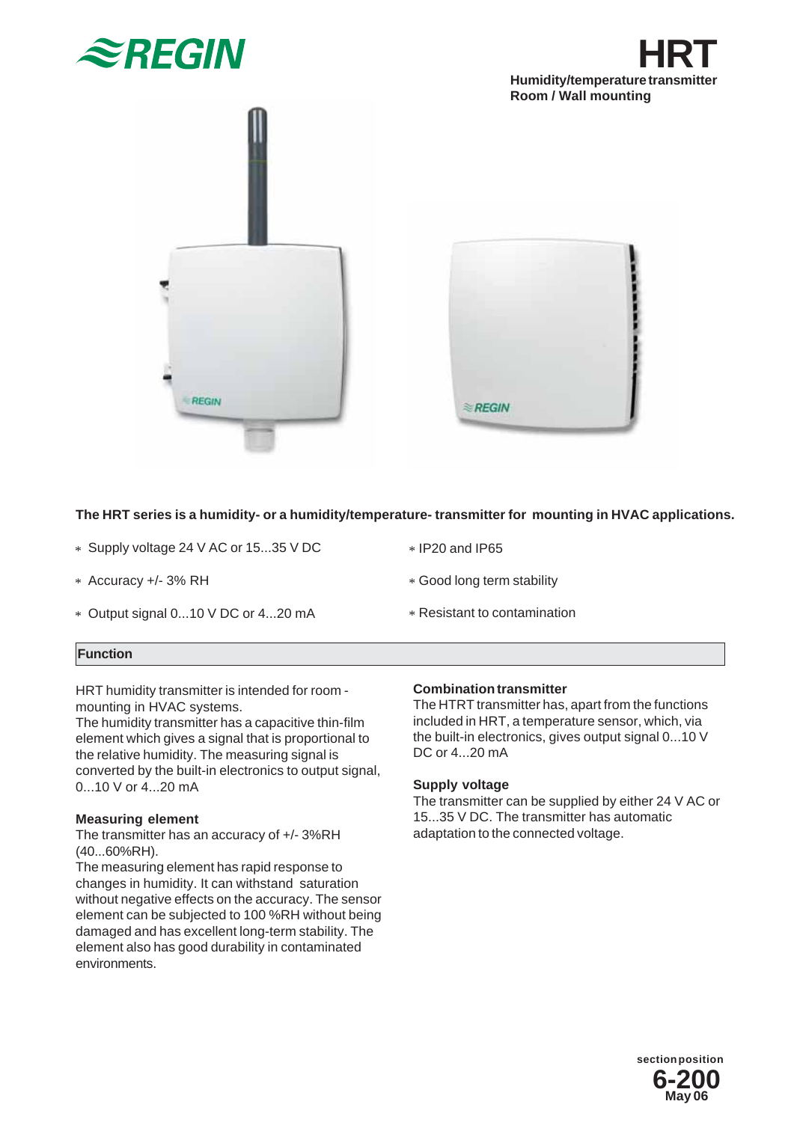





# **The HRT series is a humidity- or a humidity/temperature- transmitter for mounting in HVAC applications.**

- \* Supply voltage 24 V AC or 15...35 V DC
- \* Accuracy +/- 3% RH
- \* Output signal 0...10 V DC or 4...20 mA
- \* IP20 and IP65
- Good long term stability \*
- Resistant to contamination \*

### **Function**

HRT humidity transmitter is intended for room mounting in HVAC systems.

The humidity transmitter has a capacitive thin-film element which gives a signal that is proportional to the relative humidity. The measuring signal is converted by the built-in electronics to output signal, 0...10 V or 4...20 mA

### **Measuring element**

The transmitter has an accuracy of +/- 3%RH (40...60%RH).

The measuring element has rapid response to changes in humidity. It can withstand saturation without negative effects on the accuracy. The sensor element can be subjected to 100 %RH without being damaged and has excellent long-term stability. The element also has good durability in contaminated environments.

## **Combination transmitter**

The HTRT transmitter has, apart from the functions included in HRT, a temperature sensor, which, via the built-in electronics, gives output signal 0...10 V DC or 4...20 mA

## **Supply voltage**

The transmitter can be supplied by either 24 V AC or 15...35 V DC. The transmitter has automatic adaptation to the connected voltage.